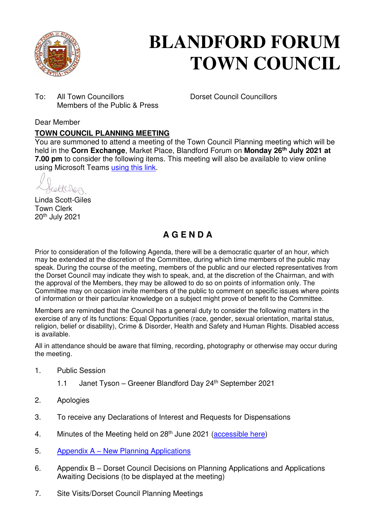

# **BLANDFORD FORUM TOWN COUNCIL**

To: All Town Councillors Dorset Council Councillors Members of the Public & Press

## Dear Member

## **TOWN COUNCIL PLANNING MEETING**

You are summoned to attend a meeting of the Town Council Planning meeting which will be held in the **Corn Exchange**, Market Place, Blandford Forum on **Monday 26th July 2021 at 7.00 pm** to consider the following items. This meeting will also be available to view online using Microsoft Teams [using this link.](https://teams.microsoft.com/l/meetup-join/19%3a2cb1b1f9de074efdad40308940ab9ba0%40thread.tacv2/1622549073203?context=%7b%22Tid%22%3a%223cd8f2fb-4c45-4162-86f1-fb87b5f6a138%22%2c%22Oid%22%3a%2265e5950c-ab1c-41cc-9090-4a755c733f54%22%7d)

rettesen

Linda Scott-Giles Town Clerk 20th July 2021

# **A G E N D A**

Prior to consideration of the following Agenda, there will be a democratic quarter of an hour, which may be extended at the discretion of the Committee, during which time members of the public may speak. During the course of the meeting, members of the public and our elected representatives from the Dorset Council may indicate they wish to speak, and, at the discretion of the Chairman, and with the approval of the Members, they may be allowed to do so on points of information only. The Committee may on occasion invite members of the public to comment on specific issues where points of information or their particular knowledge on a subject might prove of benefit to the Committee.

Members are reminded that the Council has a general duty to consider the following matters in the exercise of any of its functions: Equal Opportunities (race, gender, sexual orientation, marital status, religion, belief or disability), Crime & Disorder, Health and Safety and Human Rights. Disabled access is available.

All in attendance should be aware that filming, recording, photography or otherwise may occur during the meeting.

- 1. Public Session
	- 1.1 Janet Tyson Greener Blandford Day 24<sup>th</sup> September 2021
- 2. Apologies
- 3. To receive any Declarations of Interest and Requests for Dispensations
- 4. Minutes of the Meeting held on 28<sup>th</sup> June 2021 [\(accessible here\)](https://blandfordforum-tc.gov.uk/wp-content/uploads/2020/06/220620-1.pdf)
- 5. Appendix A – [New Planning Applications](#page-2-0)
- 6. Appendix B Dorset Council Decisions on Planning Applications and Applications Awaiting Decisions (to be displayed at the meeting)
- 7. Site Visits/Dorset Council Planning Meetings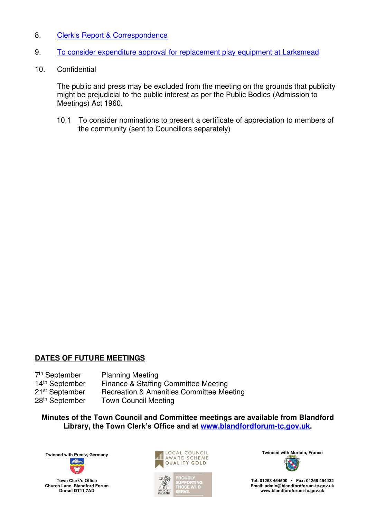## 8. Clerk'[s Report & Correspondence](#page-4-0)

- 9. [To consider expenditure approval for replacement play equipment at Larksmead](#page-5-0)
- 10. Confidential

The public and press may be excluded from the meeting on the grounds that publicity might be prejudicial to the public interest as per the Public Bodies (Admission to Meetings) Act 1960.

10.1 To consider nominations to present a certificate of appreciation to members of the community (sent to Councillors separately)

## **DATES OF FUTURE MEETINGS**

7<sup>th</sup> September<br>14<sup>th</sup> September Planning Meeting Finance & Staffing Committee Meeting 21<sup>st</sup> September Recreation & Amenities Committee Meeting<br>28<sup>th</sup> September Town Council Meeting **Town Council Meeting** 

**Minutes of the Town Council and Committee meetings are available from Blandford Library, the Town Clerk's Office and at [www.blandfordforum-tc.gov.uk.](http://www.blandfordforum-tc.gov.uk/)** 



**Town Clerk's Office Church Lane, Blandford Forum Dorset DT11 7AD**





**Tel: 01258 454500 • Fax: 01258 454432 Email: admin@blandfordforum-tc.gov.uk [www.blandfordforum-tc.gov.uk](http://www.blandfordforum-tc.gov.uk/)**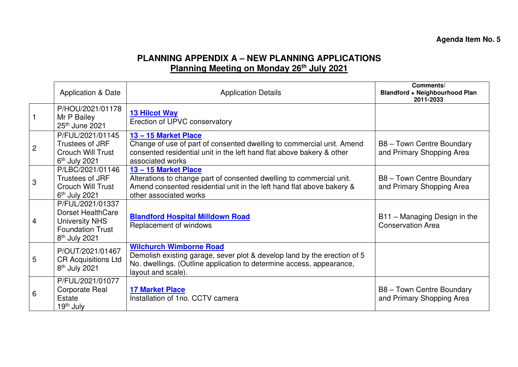## **Agenda Item No. 5**

## **PLANNING APPENDIX A – NEW PLANNING APPLICATIONS Planning Meeting on Monday 26th July 2021**

<span id="page-2-0"></span>

|                | <b>Application &amp; Date</b>                                                                                                 | <b>Application Details</b>                                                                                                                                                                               | Comments/<br><b>Blandford + Neighbourhood Plan</b><br>2011-2033 |
|----------------|-------------------------------------------------------------------------------------------------------------------------------|----------------------------------------------------------------------------------------------------------------------------------------------------------------------------------------------------------|-----------------------------------------------------------------|
|                | P/HOU/2021/01178<br>Mr P Bailey<br>25th June 2021                                                                             | <b>13 Hilcot Way</b><br>Erection of UPVC conservatory                                                                                                                                                    |                                                                 |
| $\overline{c}$ | P/FUL/2021/01145<br>Trustees of JRF<br><b>Crouch Will Trust</b><br>$6th$ July 2021                                            | 13-15 Market Place<br>Change of use of part of consented dwelling to commercial unit. Amend<br>consented residential unit in the left hand flat above bakery & other<br>associated works                 | B8 - Town Centre Boundary<br>and Primary Shopping Area          |
| 3              | P/LBC/2021/01146<br>Trustees of JRF<br>Crouch Will Trust<br>$6th$ July 2021                                                   | 13-15 Market Place<br>Alterations to change part of consented dwelling to commercial unit.<br>Amend consented residential unit in the left hand flat above bakery &<br>other associated works            | B8 - Town Centre Boundary<br>and Primary Shopping Area          |
| 4              | P/FUL/2021/01337<br><b>Dorset HealthCare</b><br><b>University NHS</b><br><b>Foundation Trust</b><br>8 <sup>th</sup> July 2021 | <b>Blandford Hospital Milldown Road</b><br>Replacement of windows                                                                                                                                        | B11 - Managing Design in the<br><b>Conservation Area</b>        |
| 5              | P/OUT/2021/01467<br><b>CR Acquisitions Ltd</b><br>8 <sup>th</sup> July 2021                                                   | <b>Wilchurch Wimborne Road</b><br>Demolish existing garage, sever plot & develop land by the erection of 5<br>No. dwellings. (Outline application to determine access, appearance,<br>layout and scale). |                                                                 |
| 6              | P/FUL/2021/01077<br><b>Corporate Real</b><br>Estate<br>19 <sup>th</sup> July                                                  | <b>17 Market Place</b><br>Installation of 1no. CCTV camera                                                                                                                                               | B8 - Town Centre Boundary<br>and Primary Shopping Area          |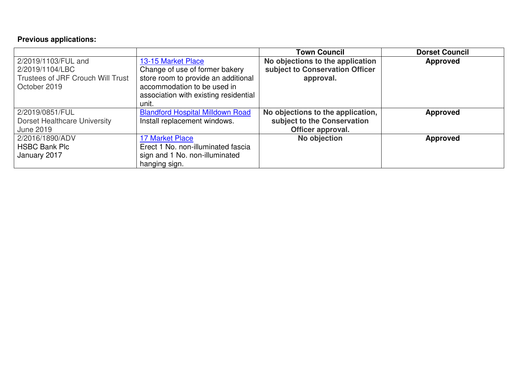## **Previous applications:**

|                                          |                                         | <b>Town Council</b>               | <b>Dorset Council</b> |
|------------------------------------------|-----------------------------------------|-----------------------------------|-----------------------|
| 2/2019/1103/FUL and                      | 13-15 Market Place                      | No objections to the application  | Approved              |
| 2/2019/1104/LBC                          | Change of use of former bakery          | subject to Conservation Officer   |                       |
| <b>Trustees of JRF Crouch Will Trust</b> | store room to provide an additional     | approval.                         |                       |
| October 2019                             | accommodation to be used in             |                                   |                       |
|                                          | association with existing residential   |                                   |                       |
|                                          | unit.                                   |                                   |                       |
| 2/2019/0851/FUL                          | <b>Blandford Hospital Milldown Road</b> | No objections to the application, | <b>Approved</b>       |
| <b>Dorset Healthcare University</b>      | Install replacement windows.            | subject to the Conservation       |                       |
| <b>June 2019</b>                         |                                         | Officer approval.                 |                       |
| 2/2016/1890/ADV                          | <b>17 Market Place</b>                  | No objection                      | <b>Approved</b>       |
| <b>HSBC Bank Plc</b>                     | Erect 1 No. non-illuminated fascia      |                                   |                       |
| January 2017                             | sign and 1 No. non-illuminated          |                                   |                       |
|                                          | hanging sign.                           |                                   |                       |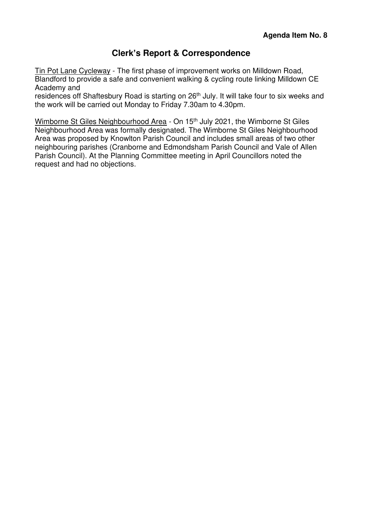## **Clerk's Report & Correspondence**

<span id="page-4-0"></span>Tin Pot Lane Cycleway - The first phase of improvement works on Milldown Road, Blandford to provide a safe and convenient walking & cycling route linking Milldown CE Academy and

residences off Shaftesbury Road is starting on 26<sup>th</sup> July. It will take four to six weeks and the work will be carried out Monday to Friday 7.30am to 4.30pm.

Wimborne St Giles Neighbourhood Area - On 15<sup>th</sup> July 2021, the Wimborne St Giles Neighbourhood Area was formally designated. The Wimborne St Giles Neighbourhood Area was proposed by Knowlton Parish Council and includes small areas of two other neighbouring parishes (Cranborne and Edmondsham Parish Council and Vale of Allen Parish Council). At the Planning Committee meeting in April Councillors noted the request and had no objections.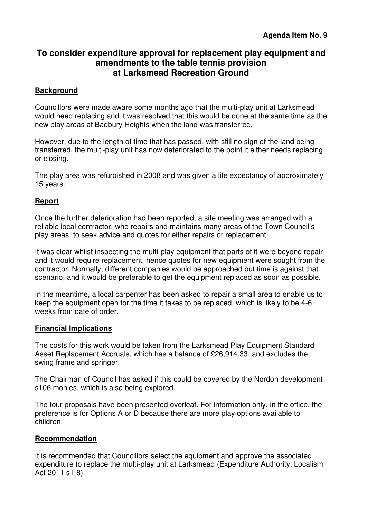## <span id="page-5-0"></span>**To consider expenditure approval for replacement play equipment and amendments to the table tennis provision at Larksmead Recreation Ground**

## **Background**

Councillors were made aware some months ago that the multi-play unit at Larksmead would need replacing and it was resolved that this would be done at the same time as the new play areas at Badbury Heights when the land was transferred.

However, due to the length of time that has passed, with still no sign of the land being transferred, the multi-play unit has now deteriorated to the point it either needs replacing or closing.

The play area was refurbished in 2008 and was given a life expectancy of approximately 15 years.

## **Report**

Once the further deterioration had been reported, a site meeting was arranged with a reliable local contractor, who repairs and maintains many areas of the Town Council's play areas, to seek advice and quotes for either repairs or replacement.

It was clear whilst inspecting the multi-play equipment that parts of it were beyond repair and it would require replacement, hence quotes for new equipment were sought from the contractor. Normally, different companies would be approached but time is against that scenario, and it would be preferable to get the equipment replaced as soon as possible.

In the meantime, a local carpenter has been asked to repair a small area to enable us to keep the equipment open for the time it takes to be replaced, which is likely to be 4-6 weeks from date of order.

#### **Financial Implications**

The costs for this work would be taken from the Larksmead Play Equipment Standard Asset Replacement Accruals, which has a balance of £26,914.33, and excludes the swing frame and springer.

The Chairman of Council has asked if this could be covered by the Nordon development s106 monies, which is also being explored.

The four proposals have been presented overleaf. For information only, in the office, the preference is for Options A or D because there are more play options available to children.

#### **Recommendation**

It is recommended that Councillors select the equipment and approve the associated expenditure to replace the multi-play unit at Larksmead (Expenditure Authority: Localism Act 2011 s1-8).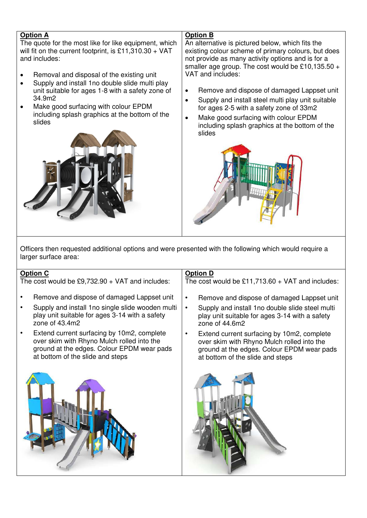| <b>Option A</b><br>The quote for the most like for like equipment, which<br>will fit on the current footprint, is £11,310.30 + VAT<br>and includes:<br>Removal and disposal of the existing unit<br>$\bullet$<br>Supply and install 1no double slide multi play<br>$\bullet$<br>unit suitable for ages 1-8 with a safety zone of<br>34.9m2<br>Make good surfacing with colour EPDM<br>including splash graphics at the bottom of the<br>slides | <b>Option B</b><br>An alternative is pictured below, which fits the<br>existing colour scheme of primary colours, but does<br>not provide as many activity options and is for a<br>smaller age group. The cost would be £10,135.50 +<br>VAT and includes:<br>Remove and dispose of damaged Lappset unit<br>$\bullet$<br>Supply and install steel multi play unit suitable<br>$\bullet$<br>for ages 2-5 with a safety zone of 33m2<br>Make good surfacing with colour EPDM<br>$\bullet$<br>including splash graphics at the bottom of the<br>slides |  |  |  |  |
|------------------------------------------------------------------------------------------------------------------------------------------------------------------------------------------------------------------------------------------------------------------------------------------------------------------------------------------------------------------------------------------------------------------------------------------------|----------------------------------------------------------------------------------------------------------------------------------------------------------------------------------------------------------------------------------------------------------------------------------------------------------------------------------------------------------------------------------------------------------------------------------------------------------------------------------------------------------------------------------------------------|--|--|--|--|
| Officers then requested additional options and were presented with the following which would require a<br>larger surface area:                                                                                                                                                                                                                                                                                                                 |                                                                                                                                                                                                                                                                                                                                                                                                                                                                                                                                                    |  |  |  |  |
| <b>Option C</b><br>The cost would be $£9,732.90 + VAT$ and includes:                                                                                                                                                                                                                                                                                                                                                                           | <b>Option D</b><br>The cost would be $£11,713.60 + VAT$ and includes:                                                                                                                                                                                                                                                                                                                                                                                                                                                                              |  |  |  |  |
| Remove and dispose of damaged Lappset unit                                                                                                                                                                                                                                                                                                                                                                                                     | Remove and dispose of damaged Lappset unit                                                                                                                                                                                                                                                                                                                                                                                                                                                                                                         |  |  |  |  |

- Supply and install 1no single slide wooden multi play unit suitable for ages 3-14 with a safety zone of 43.4m2
- Extend current surfacing by 10m2, complete over skim with Rhyno Mulch rolled into the ground at the edges. Colour EPDM wear pads at bottom of the slide and steps



- Remove and dispose of damaged Lappset unit
- Supply and install 1no double slide steel multi play unit suitable for ages 3-14 with a safety zone of 44.6m2
- Extend current surfacing by 10m2, complete over skim with Rhyno Mulch rolled into the ground at the edges. Colour EPDM wear pads at bottom of the slide and steps